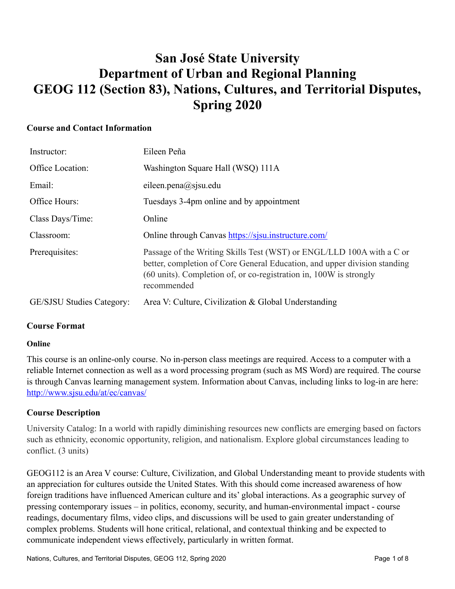# **San José State University Department of Urban and Regional Planning GEOG 112 (Section 83), Nations, Cultures, and Territorial Disputes, Spring 2020**

### **Course and Contact Information**

| Instructor:               | Eileen Peña                                                                                                                                                                                                                             |
|---------------------------|-----------------------------------------------------------------------------------------------------------------------------------------------------------------------------------------------------------------------------------------|
| Office Location:          | Washington Square Hall (WSQ) 111A                                                                                                                                                                                                       |
| Email:                    | eileen.pena $(a)$ sjsu.edu                                                                                                                                                                                                              |
| Office Hours:             | Tuesdays 3-4pm online and by appointment                                                                                                                                                                                                |
| Class Days/Time:          | Online                                                                                                                                                                                                                                  |
| Classroom:                | Online through Canvas https://sisu.instructure.com/                                                                                                                                                                                     |
| Prerequisites:            | Passage of the Writing Skills Test (WST) or ENGL/LLD 100A with a C or<br>better, completion of Core General Education, and upper division standing<br>(60 units). Completion of, or co-registration in, 100W is strongly<br>recommended |
| GE/SJSU Studies Category: | Area V: Culture, Civilization & Global Understanding                                                                                                                                                                                    |

### **Course Format**

### **Online**

This course is an online-only course. No in-person class meetings are required. Access to a computer with a reliable Internet connection as well as a word processing program (such as MS Word) are required. The course is through Canvas learning management system. Information about Canvas, including links to log-in are here: <http://www.sjsu.edu/at/ec/canvas/>

### **Course Description**

University Catalog: In a world with rapidly diminishing resources new conflicts are emerging based on factors such as ethnicity, economic opportunity, religion, and nationalism. Explore global circumstances leading to conflict. (3 units)

GEOG112 is an Area V course: Culture, Civilization, and Global Understanding meant to provide students with an appreciation for cultures outside the United States. With this should come increased awareness of how foreign traditions have influenced American culture and its' global interactions. As a geographic survey of pressing contemporary issues – in politics, economy, security, and human-environmental impact - course readings, documentary films, video clips, and discussions will be used to gain greater understanding of complex problems. Students will hone critical, relational, and contextual thinking and be expected to communicate independent views effectively, particularly in written format.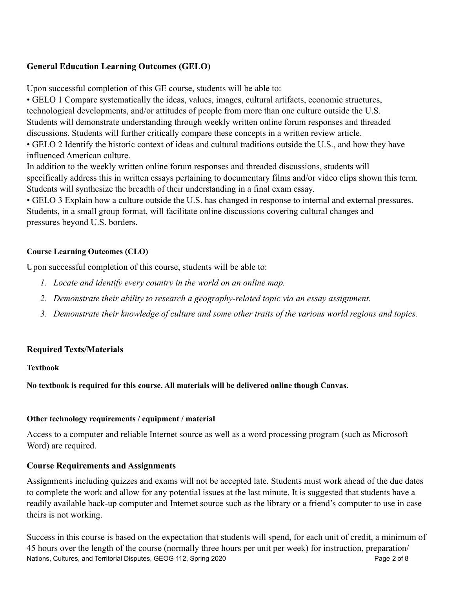## **General Education Learning Outcomes (GELO)**

Upon successful completion of this GE course, students will be able to:

• GELO 1 Compare systematically the ideas, values, images, cultural artifacts, economic structures, technological developments, and/or attitudes of people from more than one culture outside the U.S. Students will demonstrate understanding through weekly written online forum responses and threaded discussions. Students will further critically compare these concepts in a written review article. • GELO 2 Identify the historic context of ideas and cultural traditions outside the U.S., and how they have influenced American culture.

In addition to the weekly written online forum responses and threaded discussions, students will specifically address this in written essays pertaining to documentary films and/or video clips shown this term. Students will synthesize the breadth of their understanding in a final exam essay.

• GELO 3 Explain how a culture outside the U.S. has changed in response to internal and external pressures. Students, in a small group format, will facilitate online discussions covering cultural changes and pressures beyond U.S. borders.

### **Course Learning Outcomes (CLO)**

Upon successful completion of this course, students will be able to:

- *1. Locate and identify every country in the world on an online map.*
- *2. Demonstrate their ability to research a geography-related topic via an essay assignment.*
- *3. Demonstrate their knowledge of culture and some other traits of the various world regions and topics.*

### **Required Texts/Materials**

**Textbook** 

**No textbook is required for this course. All materials will be delivered online though Canvas.** 

#### **Other technology requirements / equipment / material**

Access to a computer and reliable Internet source as well as a word processing program (such as Microsoft Word) are required.

### **Course Requirements and Assignments**

Assignments including quizzes and exams will not be accepted late. Students must work ahead of the due dates to complete the work and allow for any potential issues at the last minute. It is suggested that students have a readily available back-up computer and Internet source such as the library or a friend's computer to use in case theirs is not working.

Success in this course is based on the expectation that students will spend, for each unit of credit, a minimum of 45 hours over the length of the course (normally three hours per unit per week) for instruction, preparation/ Nations, Cultures, and Territorial Disputes, GEOG 112, Spring 2020 **Page 2 of 8** Page 2 of 8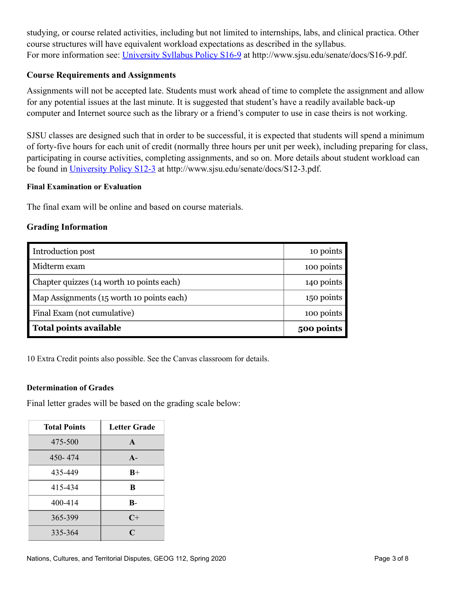studying, or course related activities, including but not limited to internships, labs, and clinical practica. Other course structures will have equivalent workload expectations as described in the syllabus. For more information see: [University Syllabus Policy S16-9](http://www.sjsu.edu/senate/docs/S16-9.pdf) at http://www.sjsu.edu/senate/docs/S16-9.pdf.

#### **Course Requirements and Assignments**

Assignments will not be accepted late. Students must work ahead of time to complete the assignment and allow for any potential issues at the last minute. It is suggested that student's have a readily available back-up computer and Internet source such as the library or a friend's computer to use in case theirs is not working.

SJSU classes are designed such that in order to be successful, it is expected that students will spend a minimum of forty-five hours for each unit of credit (normally three hours per unit per week), including preparing for class, participating in course activities, completing assignments, and so on. More details about student workload can be found in [University Policy S12-3](http://www.sjsu.edu/senate/docs/S12-3.pdf) at http://www.sjsu.edu/senate/docs/S12-3.pdf.

#### **Final Examination or Evaluation**

The final exam will be online and based on course materials.

#### **Grading Information**

| Introduction post                         | 10 points  |
|-------------------------------------------|------------|
| Midterm exam                              | 100 points |
| Chapter quizzes (14 worth 10 points each) | 140 points |
| Map Assignments (15 worth 10 points each) | 150 points |
| Final Exam (not cumulative)               | 100 points |
| Total points available                    | 500 points |

10 Extra Credit points also possible. See the Canvas classroom for details.

#### **Determination of Grades**

Final letter grades will be based on the grading scale below:

| <b>Total Points</b> | <b>Letter Grade</b> |
|---------------------|---------------------|
| 475-500             | $\mathbf{A}$        |
| 450-474             | $A -$               |
| 435-449             | $B+$                |
| 415-434             | B                   |
| 400-414             | $\mathbf{B}$        |
| 365-399             | $C+$                |
| 335-364             | $\mathsf{C}$        |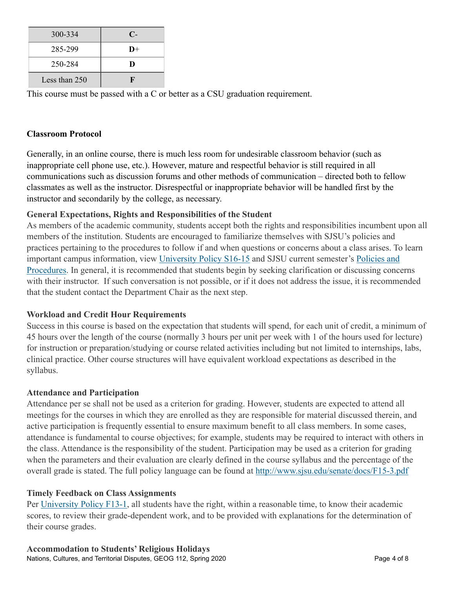| 300-334       | $\mathbb{C}$  |
|---------------|---------------|
| 285-299       | $\mathbf{D}+$ |
| 250-284       | D             |
| Less than 250 | П             |

This course must be passed with a C or better as a CSU graduation requirement.

### **Classroom Protocol**

Generally, in an online course, there is much less room for undesirable classroom behavior (such as inappropriate cell phone use, etc.). However, mature and respectful behavior is still required in all communications such as discussion forums and other methods of communication – directed both to fellow classmates as well as the instructor. Disrespectful or inappropriate behavior will be handled first by the instructor and secondarily by the college, as necessary.

## **General Expectations, Rights and Responsibilities of the Student**

As members of the academic community, students accept both the rights and responsibilities incumbent upon all members of the institution. Students are encouraged to familiarize themselves with SJSU's policies and practices pertaining to the procedures to follow if and when questions or concerns about a class arises. To learn important campus information, view [University Policy S16-15](http://www.sjsu.edu/senate/docs/S16-15.pdf) and SJSU current semester's [Policies and](http://info.sjsu.edu/static/policies/policies.html)  [Procedures](http://info.sjsu.edu/static/policies/policies.html). In general, it is recommended that students begin by seeking clarification or discussing concerns with their instructor. If such conversation is not possible, or if it does not address the issue, it is recommended that the student contact the Department Chair as the next step.

### **Workload and Credit Hour Requirements**

Success in this course is based on the expectation that students will spend, for each unit of credit, a minimum of 45 hours over the length of the course (normally 3 hours per unit per week with 1 of the hours used for lecture) for instruction or preparation/studying or course related activities including but not limited to internships, labs, clinical practice. Other course structures will have equivalent workload expectations as described in the syllabus.

### **Attendance and Participation**

Attendance per se shall not be used as a criterion for grading. However, students are expected to attend all meetings for the courses in which they are enrolled as they are responsible for material discussed therein, and active participation is frequently essential to ensure maximum benefit to all class members. In some cases, attendance is fundamental to course objectives; for example, students may be required to interact with others in the class. Attendance is the responsibility of the student. Participation may be used as a criterion for grading when the parameters and their evaluation are clearly defined in the course syllabus and the percentage of the overall grade is stated. The full policy language can be found at <http://www.sjsu.edu/senate/docs/F15-3.pdf>

### **Timely Feedback on Class Assignments**

Per [University Policy F13-1,](http://www.sjsu.edu/senate/docs/F13-1.pdf) all students have the right, within a reasonable time, to know their academic scores, to review their grade-dependent work, and to be provided with explanations for the determination of their course grades.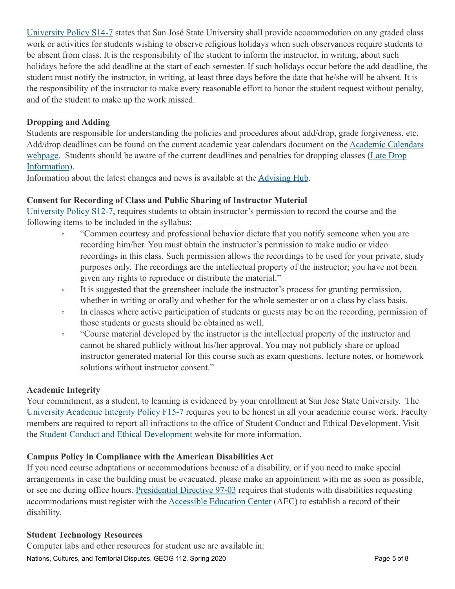[University Policy S14-7](http://www.sjsu.edu/senate/docs/S14-7.pdf) states that San José State University shall provide accommodation on any graded class work or activities for students wishing to observe religious holidays when such observances require students to be absent from class. It is the responsibility of the student to inform the instructor, in writing, about such holidays before the add deadline at the start of each semester. If such holidays occur before the add deadline, the student must notify the instructor, in writing, at least three days before the date that he/she will be absent. It is the responsibility of the instructor to make every reasonable effort to honor the student request without penalty, and of the student to make up the work missed.

### **Dropping and Adding**

Students are responsible for understanding the policies and procedures about add/drop, grade forgiveness, etc. Add/drop deadlines can be found on the current academic year calendars document on the [Academic Calendars](http://www.sjsu.edu/provost/services/academic_calendars/)  [webpage.](http://www.sjsu.edu/provost/services/academic_calendars/) Students should be aware of the current deadlines and penalties for dropping classes ([Late Drop](http://www.sjsu.edu/aars/policies/latedrops/policy/)  [Information](http://www.sjsu.edu/aars/policies/latedrops/policy/)).

Information about the latest changes and news is available at the [Advising Hub](http://www.sjsu.edu/advising/).

### **Consent for Recording of Class and Public Sharing of Instructor Material**

[University Policy S12-7,](http://www.sjsu.edu/senate/docs/S12-7.pdf) requires students to obtain instructor's permission to record the course and the following items to be included in the syllabus:

- "Common courtesy and professional behavior dictate that you notify someone when you are recording him/her. You must obtain the instructor's permission to make audio or video recordings in this class. Such permission allows the recordings to be used for your private, study purposes only. The recordings are the intellectual property of the instructor; you have not been given any rights to reproduce or distribute the material."
- It is suggested that the greensheet include the instructor's process for granting permission, whether in writing or orally and whether for the whole semester or on a class by class basis.
- In classes where active participation of students or guests may be on the recording, permission of those students or guests should be obtained as well.
- "Course material developed by the instructor is the intellectual property of the instructor and cannot be shared publicly without his/her approval. You may not publicly share or upload instructor generated material for this course such as exam questions, lecture notes, or homework solutions without instructor consent."

#### **Academic Integrity**

Your commitment, as a student, to learning is evidenced by your enrollment at San Jose State University. The [University Academic Integrity Policy F15-7](http://www.sjsu.edu/senate/docs/F15-7.pdf) requires you to be honest in all your academic course work. Faculty members are required to report all infractions to the office of Student Conduct and Ethical Development. Visit the [Student Conduct and Ethical Development](http://www.sjsu.edu/studentconduct/) website for more information.

### **Campus Policy in Compliance with the American Disabilities Act**

If you need course adaptations or accommodations because of a disability, or if you need to make special arrangements in case the building must be evacuated, please make an appointment with me as soon as possible, or see me during office hours. [Presidential Directive 97-03](http://www.sjsu.edu/president/docs/directives/PD_1997-03.pdf) requires that students with disabilities requesting accommodations must register with the [Accessible Education Center](http://www.sjsu.edu/aec) (AEC) to establish a record of their disability.

#### **Student Technology Resources**

Computer labs and other resources for student use are available in: Nations, Cultures, and Territorial Disputes, GEOG 112, Spring 2020 **Page 5 of 8** Page 5 of 8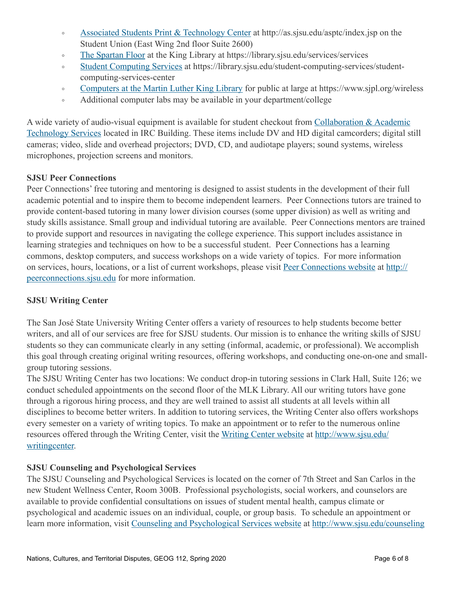- [Associated Students Print & Technology Center](http://as.sjsu.edu/asptc/index.jsp) at http://as.sjsu.edu/asptc/index.jsp on the Student Union (East Wing 2nd floor Suite 2600)
- [The Spartan Floor](https://library.sjsu.edu/services/services) at the King Library at https://library.sjsu.edu/services/services
- [Student Computing Services](https://library.sjsu.edu/student-computing-services/student-computing-services-center) at https://library.sjsu.edu/student-computing-services/studentcomputing-services-center
- [Computers at the Martin Luther King Library](https://www.sjpl.org/wireless) for public at large at https://www.sjpl.org/wireless
- Additional computer labs may be available in your department/college

A wide variety of audio-visual equipment is available for student checkout from [Collaboration & Academic](http://www.sjsu.edu/at/)  [Technology Services](http://www.sjsu.edu/at/) located in IRC Building. These items include DV and HD digital camcorders; digital still cameras; video, slide and overhead projectors; DVD, CD, and audiotape players; sound systems, wireless microphones, projection screens and monitors.

## **SJSU Peer Connections**

Peer Connections' free tutoring and mentoring is designed to assist students in the development of their full academic potential and to inspire them to become independent learners. Peer Connections tutors are trained to provide content-based tutoring in many lower division courses (some upper division) as well as writing and study skills assistance. Small group and individual tutoring are available. Peer Connections mentors are trained to provide support and resources in navigating the college experience. This support includes assistance in learning strategies and techniques on how to be a successful student. Peer Connections has a learning commons, desktop computers, and success workshops on a wide variety of topics. For more information on services, hours, locations, or a list of current workshops, please visit [Peer Connections website](http://peerconnections.sjsu.edu/) at [http://](http://peerconnections.sjsu.edu/) [peerconnections.sjsu.edu](http://peerconnections.sjsu.edu/) for more information.

## **SJSU Writing Center**

The San José State University Writing Center offers a variety of resources to help students become better writers, and all of our services are free for SJSU students. Our mission is to enhance the writing skills of SJSU students so they can communicate clearly in any setting (informal, academic, or professional). We accomplish this goal through creating original writing resources, offering workshops, and conducting one-on-one and smallgroup tutoring sessions.

The SJSU Writing Center has two locations: We conduct drop-in tutoring sessions in Clark Hall, Suite 126; we conduct scheduled appointments on the second floor of the MLK Library. All our writing tutors have gone through a rigorous hiring process, and they are well trained to assist all students at all levels within all disciplines to become better writers. In addition to tutoring services, the Writing Center also offers workshops every semester on a variety of writing topics. To make an appointment or to refer to the numerous online resources offered through the Writing Center, visit the [Writing Center website](http://www.sjsu.edu/writingcenter) at [http://www.sjsu.edu/](http://www.sjsu.edu/writingcenter) [writingcenter.](http://www.sjsu.edu/writingcenter)

## **SJSU Counseling and Psychological Services**

The SJSU Counseling and Psychological Services is located on the corner of 7th Street and San Carlos in the new Student Wellness Center, Room 300B. Professional psychologists, social workers, and counselors are available to provide confidential consultations on issues of student mental health, campus climate or psychological and academic issues on an individual, couple, or group basis. To schedule an appointment or learn more information, visit [Counseling and Psychological Services website](http://www.sjsu.edu/counseling) at<http://www.sjsu.edu/counseling>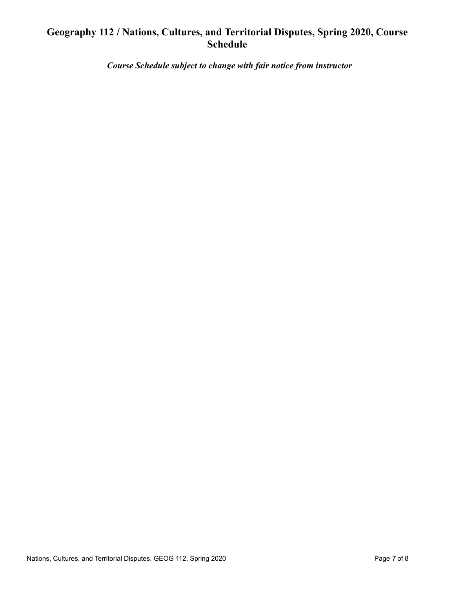## **Geography 112 / Nations, Cultures, and Territorial Disputes, Spring 2020, Course Schedule**

 *Course Schedule subject to change with fair notice from instructor*